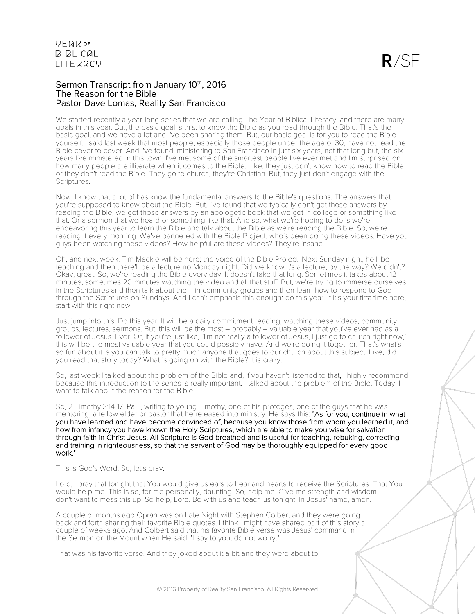#### Sermon Transcript from January 10th, 2016 The Reason for the Bible Pastor Dave Lomas, Reality San Francisco

We started recently a year-long series that we are calling The Year of Biblical Literacy, and there are many goals in this year. But, the basic goal is this: to know the Bible as you read through the Bible. That's the basic goal, and we have a lot and I've been sharing them. But, our basic goal is for you to read the Bible yourself. I said last week that most people, especially those people under the age of 30, have not read the Bible cover to cover. And I've found, ministering to San Francisco in just six years, not that long but, the six years I've ministered in this town, I've met some of the smartest people I've ever met and I'm surprised on how many people are illiterate when it comes to the Bible. Like, they just don't know how to read the Bible or they don't read the Bible. They go to church, they're Christian. But, they just don't engage with the Scriptures.

Now, I know that a lot of has know the fundamental answers to the Bible's questions. The answers that you're supposed to know about the Bible. But, I've found that we typically don't get those answers by reading the Bible, we get those answers by an apologetic book that we got in college or something like that. Or a sermon that we heard or something like that. And so, what we're hoping to do is we're endeavoring this year to learn the Bible and talk about the Bible as we're reading the Bible. So, we're reading it every morning. We've partnered with the Bible Project, who's been doing these videos. Have you guys been watching these videos? How helpful are these videos? They're insane.

Oh, and next week, Tim Mackie will be here; the voice of the Bible Project. Next Sunday night, he'll be teaching and then there'll be a lecture no Monday night. Did we know it's a lecture, by the way? We didn't? Okay, great. So, we're reading the Bible every day. It doesn't take that long. Sometimes it takes about 12 minutes, sometimes 20 minutes watching the video and all that stuff. But, we're trying to immerse ourselves in the Scriptures and then talk about them in community groups and then learn how to respond to God through the Scriptures on Sundays. And I can't emphasis this enough: do this year. If it's your first time here, start with this right now.

Just jump into this. Do this year. It will be a daily commitment reading, watching these videos, community groups, lectures, sermons. But, this will be the most – probably – valuable year that you've ever had as a follower of Jesus. Ever. Or, if you're just like, "I'm not really a follower of Jesus, I just go to church right now," this will be the most valuable year that you could possibly have. And we're doing it together. That's what's so fun about it is you can talk to pretty much anyone that goes to our church about this subject. Like, did you read that story today? What is going on with the Bible? It is crazy.

So, last week I talked about the problem of the Bible and, if you haven't listened to that, I highly recommend because this introduction to the series is really important. I talked about the problem of the Bible. Today, I want to talk about the reason for the Bible.

So, 2 Timothy 3:14-17. Paul, writing to young Timothy, one of his protégés, one of the guys that he was mentoring, a fellow elder or pastor that he released into ministry. He says this: "As for you, continue in what you have learned and have become convinced of, because you know those from whom you learned it, and how from infancy you have known the Holy Scriptures, which are able to make you wise for salvation through faith in Christ Jesus. All Scripture is God-breathed and is useful for teaching, rebuking, correcting and training in righteousness, so that the servant of God may be thoroughly equipped for every good work."

This is God's Word. So, let's pray.

Lord, I pray that tonight that You would give us ears to hear and hearts to receive the Scriptures. That You would help me. This is so, for me personally, daunting. So, help me. Give me strength and wisdom. I don't want to mess this up. So help, Lord. Be with us and teach us tonight. In Jesus' name, amen.

A couple of months ago Oprah was on Late Night with Stephen Colbert and they were going back and forth sharing their favorite Bible quotes. I think I might have shared part of this story a couple of weeks ago. And Colbert said that his favorite Bible verse was Jesus' command in the Sermon on the Mount when He said, "I say to you, do not worry."

That was his favorite verse. And they joked about it a bit and they were about to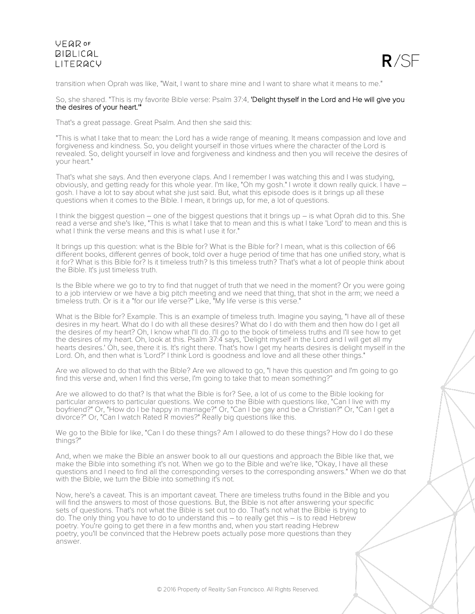

transition when Oprah was like, "Wait, I want to share mine and I want to share what it means to me."

#### So, she shared. "This is my favorite Bible verse: Psalm 37:4, 'Delight thyself in the Lord and He will give you the desires of your heart."

That's a great passage. Great Psalm. And then she said this:

"This is what I take that to mean: the Lord has a wide range of meaning. It means compassion and love and forgiveness and kindness. So, you delight yourself in those virtues where the character of the Lord is revealed. So, delight yourself in love and forgiveness and kindness and then you will receive the desires of your heart."

That's what she says. And then everyone claps. And I remember I was watching this and I was studying, obviously, and getting ready for this whole year. I'm like, "Oh my gosh." I wrote it down really quick. I have – gosh. I have a lot to say about what she just said. But, what this episode does is it brings up all these questions when it comes to the Bible. I mean, it brings up, for me, a lot of questions.

I think the biggest question – one of the biggest questions that it brings up – is what Oprah did to this. She read a verse and she's like, "This is what I take that to mean and this is what I take 'Lord' to mean and this is what I think the verse means and this is what I use it for."

It brings up this question: what is the Bible for? What is the Bible for? I mean, what is this collection of 66 different books, different genres of book, told over a huge period of time that has one unified story, what is it for? What is this Bible for? Is it timeless truth? Is this timeless truth? That's what a lot of people think about the Bible. It's just timeless truth.

Is the Bible where we go to try to find that nugget of truth that we need in the moment? Or you were going to a job interview or we have a big pitch meeting and we need that thing, that shot in the arm; we need a timeless truth. Or is it a "for our life verse?" Like, "My life verse is this verse."

What is the Bible for? Example. This is an example of timeless truth. Imagine you saying, "I have all of these desires in my heart. What do I do with all these desires? What do I do with them and then how do I get all the desires of my heart? Oh, I know what I'll do. I'll go to the book of timeless truths and I'll see how to get the desires of my heart. Oh, look at this. Psalm 37:4 says, 'Delight myself in the Lord and I will get all my hearts desires.' Oh, see, there it is. It's right there. That's how I get my hearts desires is delight myself in the Lord. Oh, and then what is 'Lord?' I think Lord is goodness and love and all these other things."

Are we allowed to do that with the Bible? Are we allowed to go, "I have this question and I'm going to go find this verse and, when I find this verse, I'm going to take that to mean something?"

Are we allowed to do that? Is that what the Bible is for? See, a lot of us come to the Bible looking for particular answers to particular questions. We come to the Bible with questions like, "Can I live with my boyfriend?" Or, "How do I be happy in marriage?" Or, "Can I be gay and be a Christian?" Or, "Can I get a divorce?" Or, "Can I watch Rated R movies?" Really big questions like this.

We go to the Bible for like, "Can I do these things? Am I allowed to do these things? How do I do these things?"

And, when we make the Bible an answer book to all our questions and approach the Bible like that, we make the Bible into something it's not. When we go to the Bible and we're like, "Okay, I have all these questions and I need to find all the corresponding verses to the corresponding answers." When we do that with the Bible, we turn the Bible into something it's not.

Now, here's a caveat. This is an important caveat. There are timeless truths found in the Bible and you will find the answers to most of those questions. But, the Bible is not after answering your specific sets of questions. That's not what the Bible is set out to do. That's not what the Bible is trying to do. The only thing you have to do to understand this – to really get this – is to read Hebrew poetry. You're going to get there in a few months and, when you start reading Hebrew poetry, you'll be convinced that the Hebrew poets actually pose more questions than they answer.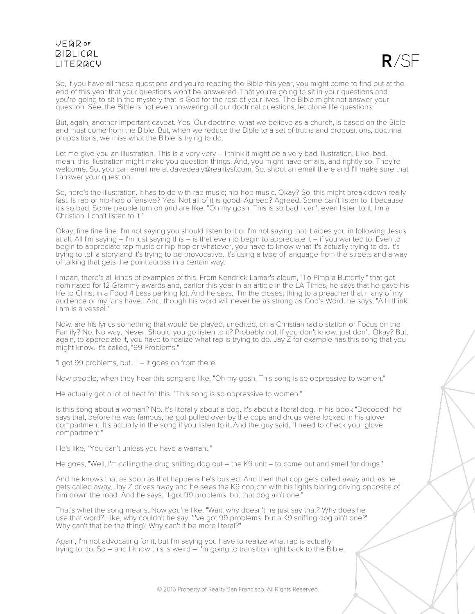

So, if you have all these questions and you're reading the Bible this year, you might come to find out at the end of this year that your questions won't be answered. That you're going to sit in your questions and you're going to sit in the mystery that is God for the rest of your lives. The Bible might not answer your question. See, the Bible is not even answering all our doctrinal questions, let alone life questions.

But, again, another important caveat. Yes. Our doctrine, what we believe as a church, is based on the Bible and must come from the Bible. But, when we reduce the Bible to a set of truths and propositions, doctrinal propositions, we miss what the Bible is trying to do.

Let me give you an illustration. This is a very very  $-1$  think it might be a very bad illustration. Like, bad. I mean, this illustration might make you question things. And, you might have emails, and rightly so. They're welcome. So, you can email me at davedealy@realitysf.com. So, shoot an email there and I'll make sure that I answer your question.

So, here's the illustration. It has to do with rap music; hip-hop music. Okay? So, this might break down really fast. Is rap or hip-hop offensive? Yes. Not all of it is good. Agreed? Agreed. Some can't listen to it because it's so bad. Some people turn on and are like, "Oh my gosh. This is so bad I can't even listen to it. I'm a Christian. I can't listen to it."

Okay, fine fine fine. I'm not saying you should listen to it or I'm not saying that it aides you in following Jesus at all. All I'm saying – I'm just saying this – is that even to begin to appreciate it – if you wanted to. Even to begin to appreciate rap music or hip-hop or whatever, you have to know what it's actually trying to do. It's trying to tell a story and it's trying to be provocative. It's using a type of language from the streets and a way of talking that gets the point across in a certain way.

I mean, there's all kinds of examples of this. From Kendrick Lamar's album, "To Pimp a Butterfly," that got nominated for 12 Grammy awards and, earlier this year in an article in the LA Times, he says that he gave his life to Christ in a Food 4 Less parking lot. And he says, "I'm the closest thing to a preacher that many of my audience or my fans have." And, though his word will never be as strong as God's Word, he says, "All I think I am is a vessel."

Now, are his lyrics something that would be played, unedited, on a Christian radio station or Focus on the Family? No. No way. Never. Should you go listen to it? Probably not. If you don't know, just don't. Okay? But, again, to appreciate it, you have to realize what rap is trying to do. Jay Z for example has this song that you might know. It's called, "99 Problems."

"I got 99 problems, but..." – it goes on from there.

Now people, when they hear this song are like, "Oh my gosh. This song is so oppressive to women."

He actually got a lot of heat for this. "This song is so oppressive to women."

Is this song about a woman? No. It's literally about a dog. It's about a literal dog. In his book "Decoded" he says that, before he was famous, he got pulled over by the cops and drugs were locked in his glove compartment. It's actually in the song if you listen to it. And the guy said, "I need to check your glove compartment."

He's like, "You can't unless you have a warrant."

He goes, "Well, I'm calling the drug sniffing dog out – the K9 unit – to come out and smell for drugs."

And he knows that as soon as that happens he's busted. And then that cop gets called away and, as he gets called away, Jay Z drives away and he sees the K9 cop car with his lights blaring driving opposite of him down the road. And he says, "I got 99 problems, but that dog ain't one."

That's what the song means. Now you're like, "Wait, why doesn't he just say that? Why does he use that word? Like, why couldn't he say, 'I've got 99 problems, but a K9 sniffing dog ain't one?' Why can't that be the thing? Why can't it be more literal?"

Again, I'm not advocating for it, but I'm saying you have to realize what rap is actually trying to do. So – and I know this is weird – I'm going to transition right back to the Bible.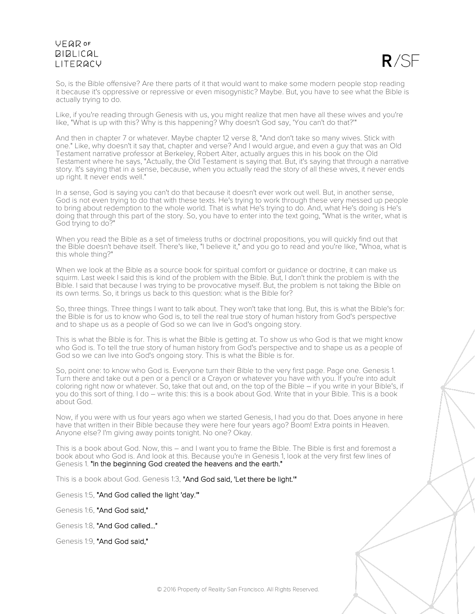# UFQDOF **BIBLICAL I ITFRACY**

 $R / S$ 

So, is the Bible offensive? Are there parts of it that would want to make some modern people stop reading it because it's oppressive or repressive or even misogynistic? Maybe. But, you have to see what the Bible is actually trying to do.

Like, if you're reading through Genesis with us, you might realize that men have all these wives and you're like, "What is up with this? Why is this happening? Why doesn't God say, 'You can't do that?'"

And then in chapter 7 or whatever. Maybe chapter 12 verse 8, "And don't take so many wives. Stick with one." Like, why doesn't it say that, chapter and verse? And I would argue, and even a guy that was an Old Testament narrative professor at Berkeley, Robert Alter, actually argues this in his book on the Old Testament where he says, "Actually, the Old Testament is saying that. But, it's saying that through a narrative story. It's saying that in a sense, because, when you actually read the story of all these wives, it never ends up right. It never ends well."

In a sense, God is saying you can't do that because it doesn't ever work out well. But, in another sense, God is not even trying to do that with these texts. He's trying to work through these very messed up people to bring about redemption to the whole world. That is what He's trying to do. And, what He's doing is He's doing that through this part of the story. So, you have to enter into the text going, "What is the writer, what is God trying to do?"

When you read the Bible as a set of timeless truths or doctrinal propositions, you will quickly find out that the Bible doesn't behave itself. There's like, "I believe it," and you go to read and you're like, "Whoa, what is this whole thing?"

When we look at the Bible as a source book for spiritual comfort or quidance or doctrine, it can make us squirm. Last week I said this is kind of the problem with the Bible. But, I don't think the problem is with the Bible. I said that because I was trying to be provocative myself. But, the problem is not taking the Bible on its own terms. So, it brings us back to this question: what is the Bible for?

So, three things. Three things I want to talk about. They won't take that long. But, this is what the Bible's for: the Bible is for us to know who God is, to tell the real true story of human history from God's perspective and to shape us as a people of God so we can live in God's ongoing story.

This is what the Bible is for. This is what the Bible is getting at. To show us who God is that we might know who God is. To tell the true story of human history from God's perspective and to shape us as a people of God so we can live into God's ongoing story. This is what the Bible is for.

So, point one: to know who God is. Everyone turn their Bible to the very first page. Page one. Genesis 1. Turn there and take out a pen or a pencil or a Crayon or whatever you have with you. If you're into adult coloring right now or whatever. So, take that out and, on the top of the Bible – if you write in your Bible's, if you do this sort of thing. I do – write this: this is a book about God. Write that in your Bible. This is a book about God.

Now, if you were with us four years ago when we started Genesis, I had you do that. Does anyone in here have that written in their Bible because they were here four years ago? Boom! Extra points in Heaven. Anyone else? I'm giving away points tonight. No one? Okay.

This is a book about God. Now, this – and I want you to frame the Bible. The Bible is first and foremost a book about who God is. And look at this. Because you're in Genesis 1, look at the very first few lines of Genesis 1. "In the beginning God created the heavens and the earth."

This is a book about God. Genesis 1:3, "And God said, 'Let there be light."

Genesis 1:5, "And God called the light 'day.'"

Genesis 1:6, "And God said,"

Genesis 1:8, "And God called..."

Genesis 1:9, "And God said,"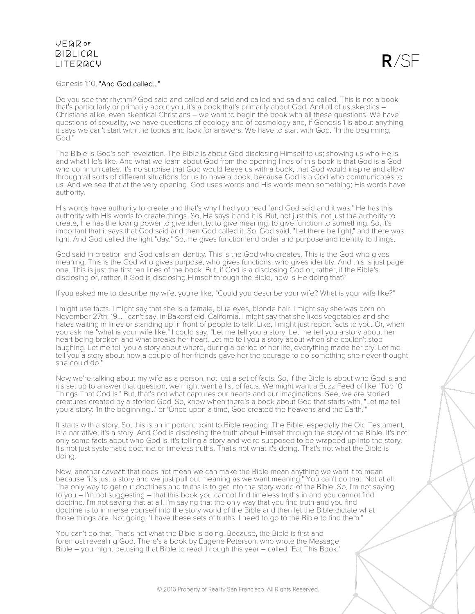

#### Genesis 1:10, "And God called..."

Do you see that rhythm? God said and called and said and called and said and called. This is not a book that's particularly or primarily about you, it's a book that's primarily about God. And all of us skeptics – Christians alike, even skeptical Christians – we want to begin the book with all these questions. We have questions of sexuality, we have questions of ecology and of cosmology and, if Genesis 1 is about anything, it says we can't start with the topics and look for answers. We have to start with God. "In the beginning, God."

The Bible is God's self-revelation. The Bible is about God disclosing Himself to us; showing us who He is and what He's like. And what we learn about God from the opening lines of this book is that God is a God who communicates. It's no surprise that God would leave us with a book, that God would inspire and allow through all sorts of different situations for us to have a book, because God is a God who communicates to us. And we see that at the very opening. God uses words and His words mean something; His words have authority.

His words have authority to create and that's why I had you read "and God said and it was." He has this authority with His words to create things. So, He says it and it is. But, not just this, not just the authority to create, He has the loving power to give identity, to give meaning, to give function to something. So, it's important that it says that God said and then God called it. So, God said, "Let there be light," and there was light. And God called the light "day." So, He gives function and order and purpose and identity to things.

God said in creation and God calls an identity. This is the God who creates. This is the God who gives meaning. This is the God who gives purpose, who gives functions, who gives identity. And this is just page one. This is just the first ten lines of the book. But, if God is a disclosing God or, rather, if the Bible's disclosing or, rather, if God is disclosing Himself through the Bible, how is He doing that?

If you asked me to describe my wife, you're like, "Could you describe your wife? What is your wife like?"

I might use facts. I might say that she is a female, blue eyes, blonde hair. I might say she was born on November 27th, 19... I can't say, in Bakersfield, California. I might say that she likes vegetables and she hates waiting in lines or standing up in front of people to talk. Like, I might just report facts to you. Or, when you ask me "what is your wife like," I could say, "Let me tell you a story. Let me tell you a story about her heart being broken and what breaks her heart. Let me tell you a story about when she couldn't stop laughing. Let me tell you a story about where, during a period of her life, everything made her cry. Let me tell you a story about how a couple of her friends gave her the courage to do something she never thought she could do."

Now we're talking about my wife as a person, not just a set of facts. So, if the Bible is about who God is and it's set up to answer that question, we might want a list of facts. We might want a Buzz Feed of like "Top 10 Things That God Is." But, that's not what captures our hearts and our imaginations. See, we are storied creatures created by a storied God. So, know when there's a book about God that starts with, "Let me tell you a story: 'In the beginning...' or 'Once upon a time, God created the heavens and the Earth.'"

It starts with a story. So, this is an important point to Bible reading. The Bible, especially the Old Testament, is a narrative; it's a story. And God is disclosing the truth about Himself through the story of the Bible. It's not only some facts about who God is, it's telling a story and we're supposed to be wrapped up into the story. It's not just systematic doctrine or timeless truths. That's not what it's doing. That's not what the Bible is doing.

Now, another caveat: that does not mean we can make the Bible mean anything we want it to mean because "it's just a story and we just pull out meaning as we want meaning." You can't do that. Not at all. The only way to get our doctrines and truths is to get into the story world of the Bible. So, I'm not saying to you – I'm not suggesting – that this book you cannot find timeless truths in and you cannot find doctrine. I'm not saying that at all. I'm saying that the only way that you find truth and you find doctrine is to immerse yourself into the story world of the Bible and then let the Bible dictate what those things are. Not going, "I have these sets of truths. I need to go to the Bible to find them."

You can't do that. That's not what the Bible is doing. Because, the Bible is first and foremost revealing God. There's a book by Eugene Peterson, who wrote the Message Bible – you might be using that Bible to read through this year – called "Eat This Book."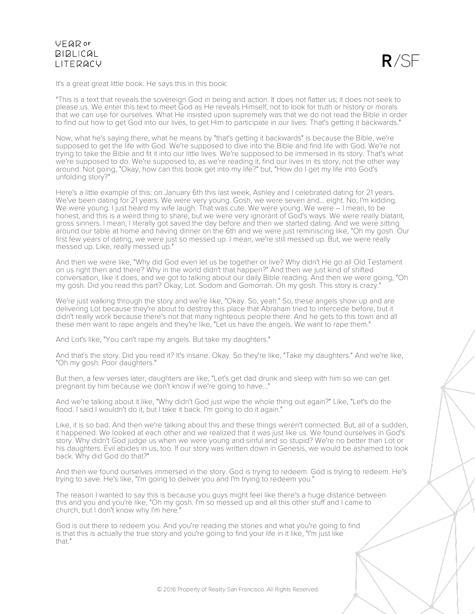

It's a great great little book. He says this in this book:

"This is a text that reveals the sovereign God in being and action. It does not flatter us; it does not seek to please us. We enter this text to meet God as He reveals Himself, not to look for truth or history or morals that we can use for ourselves. What He insisted upon supremely was that we do not read the Bible in order to find out how to get God into our lives, to get Him to participate in our lives. That's getting it backwards."

Now, what he's saying there, what he means by "that's getting it backwards" is because the Bible, we're supposed to get the life with God. We're supposed to dive into the Bible and find life with God. We're not trying to take the Bible and fit it into our little lives. We're supposed to be immersed in its story. That's what we're supposed to do. We're supposed to, as we're reading it, find our lives in its story, not the other way around. Not going, "Okay, how can this book get into my life?" but, "How do I get my life into God's unfolding story?"

Here's a little example of this: on January 6th this last week, Ashley and I celebrated dating for 21 years. We've been dating for 21 years. We were very young. Gosh, we were seven and... eight. No, I'm kidding. We were young. I just heard my wife laugh. That was cute. We were young. We were – I mean, to be honest, and this is a weird thing to share, but we were very ignorant of God's ways. We were really blatant, gross sinners. I mean, I literally got saved the day before and then we started dating. And we were sitting around our table at home and having dinner on the 6th and we were just reminiscing like, "Oh my gosh. Our first few years of dating, we were just so messed up. I mean, we're still messed up. But, we were really messed up. Like, really messed up."

And then we were like, "Why did God even let us be together or live? Why didn't He go all Old Testament on us right then and there? Why in the world didn't that happen?" And then we just kind of shifted conversation, like it does, and we got to talking about our daily Bible reading. And then we were going, "Oh my gosh. Did you read this part? Okay, Lot. Sodom and Gomorrah. Oh my gosh. This story is crazy."

We're just walking through the story and we're like, "Okay. So, yeah." So, these angels show up and are delivering Lot because they're about to destroy this place that Abraham tried to intercede before, but it didn't really work because there's not that many righteous people there. And he gets to this town and all these men want to rape angels and they're like, "Let us have the angels. We want to rape them."

And Lot's like, "You can't rape my angels. But take my daughters."

And that's the story. Did you read it? It's insane. Okay. So they're like, "Take my daughters." And we're like, "Oh my gosh. Poor daughters."

But then, a few verses later, daughters are like, "Let's get dad drunk and sleep with him so we can get pregnant by him because we don't know if we're going to have..."

And we're talking about it like, "Why didn't God just wipe the whole thing out again?" Like, "Let's do the flood. I said I wouldn't do it, but I take it back. I'm going to do it again."

Like, it is so bad. And then we're talking about this and these things weren't connected. But, all of a sudden, it happened. We looked at each other and we realized that it was just like us. We found ourselves in God's story. Why didn't God judge us when we were young and sinful and so stupid? We're no better than Lot or his daughters. Evil abides in us, too. If our story was written down in Genesis, we would be ashamed to look back. Why did God do that?"

And then we found ourselves immersed in the story. God is trying to redeem. God is trying to redeem. He's trying to save. He's like, "I'm going to deliver you and I'm trying to redeem you."

The reason I wanted to say this is because you guys might feel like there's a huge distance between this and you and you're like, "Oh my gosh. I'm so messed up and all this other stuff and I came to church, but I don't know why I'm here."

God is out there to redeem you. And you're reading the stories and what you're going to find is that this is actually the true story and you're going to find your life in it like, "I'm just like that."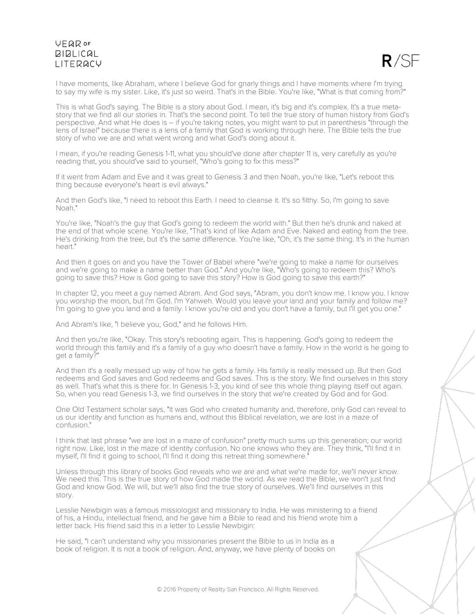# UFQDOF **BIBLICAL I ITFRACY**

 $R/SF$ 

I have moments, like Abraham, where I believe God for gnarly things and I have moments where I'm trying to say my wife is my sister. Like, it's just so weird. That's in the Bible. You're like, "What is that coming from?"

This is what God's saying. The Bible is a story about God. I mean, it's big and it's complex. It's a true metastory that we find all our stories in. That's the second point. To tell the true story of human history from God's perspective. And what He does is – if you're taking notes, you might want to put in parenthesis "through the lens of Israel" because there is a lens of a family that God is working through here. The Bible tells the true story of who we are and what went wrong and what God's doing about it.

I mean, if you're reading Genesis 1-11, what you should've done after chapter 11 is, very carefully as you're reading that, you should've said to yourself, "Who's going to fix this mess?"

If it went from Adam and Eve and it was great to Genesis 3 and then Noah, you're like, "Let's reboot this thing because everyone's heart is evil always."

And then God's like, "I need to reboot this Earth. I need to cleanse it. It's so filthy. So, I'm going to save Noah."

You're like, "Noah's the guy that God's going to redeem the world with." But then he's drunk and naked at the end of that whole scene. You're like, "That's kind of like Adam and Eve. Naked and eating from the tree. He's drinking from the tree, but it's the same difference. You're like, "Oh, it's the same thing. It's in the human heart."

And then it goes on and you have the Tower of Babel where "we're going to make a name for ourselves and we're going to make a name better than God." And you're like, "Who's going to redeem this? Who's going to save this? How is God going to save this story? How is God going to save this earth?"

In chapter 12, you meet a guy named Abram. And God says, "Abram, you don't know me. I know you. I know you worship the moon, but I'm God. I'm Yahweh. Would you leave your land and your family and follow me? I'm going to give you land and a family. I know you're old and you don't have a family, but I'll get you one."

And Abram's like, "I believe you, God," and he follows Him.

And then you're like, "Okay. This story's rebooting again. This is happening. God's going to redeem the world through this family and it's a family of a guy who doesn't have a family. How in the world is he going to get a family?"

And then it's a really messed up way of how he gets a family. His family is really messed up. But then God redeems and God saves and God redeems and God saves. This is the story. We find ourselves in this story as well. That's what this is there for. In Genesis 1-3, you kind of see this whole thing playing itself out again. So, when you read Genesis 1-3, we find ourselves in the story that we're created by God and for God.

One Old Testament scholar says, "It was God who created humanity and, therefore, only God can reveal to us our identity and function as humans and, without this Biblical revelation, we are lost in a maze of confusion."

I think that last phrase "we are lost in a maze of confusion" pretty much sums up this generation; our world right now. Like, lost in the maze of identity confusion. No one knows who they are. They think, "I'll find it in myself, I'll find it going to school, I'll find it doing this retreat thing somewhere.

Unless through this library of books God reveals who we are and what we're made for, we'll never know. We need this. This is the true story of how God made the world. As we read the Bible, we won't just find God and know God. We will, but we'll also find the true story of ourselves. We'll find ourselves in this story.

Lesslie Newbigin was a famous missiologist and missionary to India. He was ministering to a friend of his, a Hindu, intellectual friend, and he gave him a Bible to read and his friend wrote him a letter back. His friend said this in a letter to Lesslie Newbigin:

He said, "I can't understand why you missionaries present the Bible to us in India as a book of religion. It is not a book of religion. And, anyway, we have plenty of books on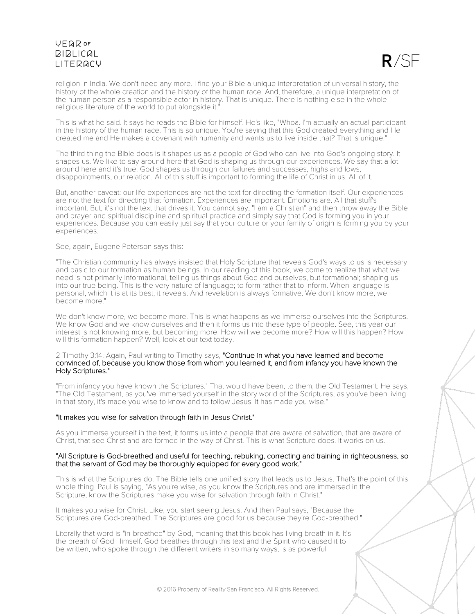

religion in India. We don't need any more. I find your Bible a unique interpretation of universal history, the history of the whole creation and the history of the human race. And, therefore, a unique interpretation of the human person as a responsible actor in history. That is unique. There is nothing else in the whole religious literature of the world to put alongside it.

This is what he said. It says he reads the Bible for himself. He's like, "Whoa. I'm actually an actual participant in the history of the human race. This is so unique. You're saying that this God created everything and He created me and He makes a covenant with humanity and wants us to live inside that? That is unique."

The third thing the Bible does is it shapes us as a people of God who can live into God's ongoing story. It shapes us. We like to say around here that God is shaping us through our experiences. We say that a lot around here and it's true. God shapes us through our failures and successes, highs and lows, disappointments, our relation. All of this stuff is important to forming the life of Christ in us. All of it.

But, another caveat: our life experiences are not the text for directing the formation itself. Our experiences are not the text for directing that formation. Experiences are important. Emotions are. All that stuff's important. But, it's not the text that drives it. You cannot say, "I am a Christian" and then throw away the Bible and prayer and spiritual discipline and spiritual practice and simply say that God is forming you in your experiences. Because you can easily just say that your culture or your family of origin is forming you by your experiences.

#### See, again, Eugene Peterson says this:

"The Christian community has always insisted that Holy Scripture that reveals God's ways to us is necessary and basic to our formation as human beings. In our reading of this book, we come to realize that what we need is not primarily informational, telling us things about God and ourselves, but formational; shaping us into our true being. This is the very nature of language; to form rather that to inform. When language is personal, which it is at its best, it reveals. And revelation is always formative. We don't know more, we become more."

We don't know more, we become more. This is what happens as we immerse ourselves into the Scriptures. We know God and we know ourselves and then it forms us into these type of people. See, this year our interest is not knowing more, but becoming more. How will we become more? How will this happen? How will this formation happen? Well, look at our text today.

#### 2 Timothy 3:14. Again, Paul writing to Timothy says, "Continue in what you have learned and become convinced of, because you know those from whom you learned it, and from infancy you have known the Holy Scriptures."

"From infancy you have known the Scriptures." That would have been, to them, the Old Testament. He says, "The Old Testament, as you've immersed yourself in the story world of the Scriptures, as you've been living in that story, it's made you wise to know and to follow Jesus. It has made you wise."

#### "It makes you wise for salvation through faith in Jesus Christ."

As you immerse yourself in the text, it forms us into a people that are aware of salvation, that are aware of Christ, that see Christ and are formed in the way of Christ. This is what Scripture does. It works on us.

#### "All Scripture is God-breathed and useful for teaching, rebuking, correcting and training in righteousness, so that the servant of God may be thoroughly equipped for every good work."

This is what the Scriptures do. The Bible tells one unified story that leads us to Jesus. That's the point of this whole thing. Paul is saying, "As you're wise, as you know the Scriptures and are immersed in the Scripture, know the Scriptures make you wise for salvation through faith in Christ."

It makes you wise for Christ. Like, you start seeing Jesus. And then Paul says, "Because the Scriptures are God-breathed. The Scriptures are good for us because they're God-breathed."

Literally that word is "in-breathed" by God, meaning that this book has living breath in it. It's the breath of God Himself. God breathes through this text and the Spirit who caused it to be written, who spoke through the different writers in so many ways, is as powerful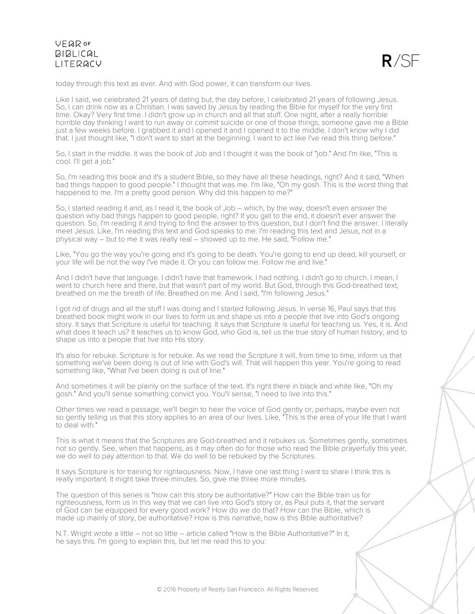

today through this text as ever. And with God power, it can transform our lives.

Like I said, we celebrated 21 years of dating but, the day before, I celebrated 21 years of following Jesus. So, I can drink now as a Christian. I was saved by Jesus by reading the Bible for myself for the very first time. Okay? Very first time. I didn't grow up in church and all that stuff. One night, after a really horrible horrible day thinking I want to run away or commit suicide or one of those things, someone gave me a Bible just a few weeks before. I grabbed it and I opened it and I opened it to the middle. I don't know why I did that. I just thought like, "I don't want to start at the beginning. I want to act like I've read this thing before."

So, I start in the middle. It was the book of Job and I thought it was the book of "job." And I'm like, "This is cool. I'll get a job."

So, I'm reading this book and it's a student Bible, so they have all these headings, right? And it said, "When bad things happen to good people." I thought that was me. I'm like, "Oh my gosh. This is the worst thing that happened to me. I'm a pretty good person. Why did this happen to me?"

So, I started reading it and, as I read it, the book of Job – which, by the way, doesn't even answer the question why bad things happen to good people, right? If you get to the end, it doesn't ever answer the question. So, I'm reading it and trying to find the answer to this question, but I don't find the answer. I literally meet Jesus. Like, I'm reading this text and God speaks to me. I'm reading this text and Jesus, not in a physical way – but to me it was really real – showed up to me. He said, "Follow me."

Like, "You go the way you're going and it's going to be death. You're going to end up dead, kill yourself, or your life will be not the way I've made it. Or you can follow me. Follow me and live."

And I didn't have that language. I didn't have that framework. I had nothing. I didn't go to church. I mean, I went to church here and there, but that wasn't part of my world. But God, through this God-breathed text, breathed on me the breath of life. Breathed on me. And I said, "I'm following Jesus."

I got rid of drugs and all the stuff I was doing and I started following Jesus. In verse 16, Paul says that this breathed book might work in our lives to form us and shape us into a people that live into God's ongoing story. It says that Scripture is useful for teaching. It says that Scripture is useful for teaching us. Yes, it is. And what does it teach us? It teaches us to know God, who God is, tell us the true story of human history, and to shape us into a people that live into His story.

It's also for rebuke. Scripture is for rebuke. As we read the Scripture it will, from time to time, inform us that something we've been doing is out of line with God's will. That will happen this year. You're going to read something like, "What I've been doing is out of line."

And sometimes it will be plainly on the surface of the text. It's right there in black and white like, "Oh my gosh." And you'll sense something convict you. You'll sense, "I need to live into this."

Other times we read a passage, we'll begin to hear the voice of God gently or, perhaps, maybe even not so gently telling us that this story applies to an area of our lives. Like, "This is the area of your life that I want to deal with."

This is what it means that the Scriptures are God-breathed and it rebukes us. Sometimes gently, sometimes not so gently. See, when that happens, as it may often do for those who read the Bible prayerfully this year, we do well to pay attention to that. We do well to be rebuked by the Scriptures.

It says Scripture is for training for righteousness. Now, I have one last thing I want to share I think this is really important. It might take three minutes. So, give me three more minutes.

The question of this series is "how can this story be authoritative?" How can the Bible train us for righteousness, form us in this way that we can live into God's story or, as Paul puts it, that the servant of God can be equipped for every good work? How do we do that? How can the Bible, which is made up mainly of story, be authoritative? How is this narrative, how is this Bible authoritative?

N.T. Wright wrote a little – not so little – article called "How is the Bible Authoritative?" In it, he says this. I'm going to explain this, but let me read this to you: